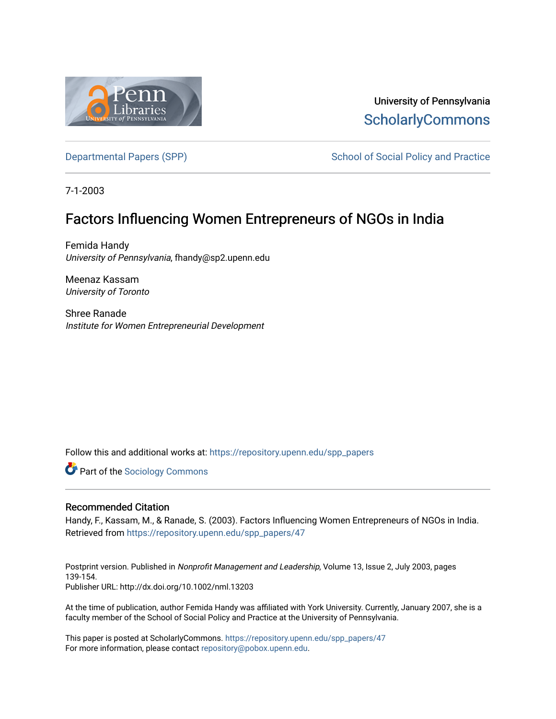

University of Pennsylvania **ScholarlyCommons** 

[Departmental Papers \(SPP\)](https://repository.upenn.edu/spp_papers) School of Social Policy and Practice

7-1-2003

# Factors Influencing Women Entrepreneurs of NGOs in India

Femida Handy University of Pennsylvania, fhandy@sp2.upenn.edu

Meenaz Kassam University of Toronto

Shree Ranade Institute for Women Entrepreneurial Development

Follow this and additional works at: [https://repository.upenn.edu/spp\\_papers](https://repository.upenn.edu/spp_papers?utm_source=repository.upenn.edu%2Fspp_papers%2F47&utm_medium=PDF&utm_campaign=PDFCoverPages) 

**Part of the [Sociology Commons](http://network.bepress.com/hgg/discipline/416?utm_source=repository.upenn.edu%2Fspp_papers%2F47&utm_medium=PDF&utm_campaign=PDFCoverPages)** 

#### Recommended Citation

Handy, F., Kassam, M., & Ranade, S. (2003). Factors Influencing Women Entrepreneurs of NGOs in India. Retrieved from [https://repository.upenn.edu/spp\\_papers/47](https://repository.upenn.edu/spp_papers/47?utm_source=repository.upenn.edu%2Fspp_papers%2F47&utm_medium=PDF&utm_campaign=PDFCoverPages)

Postprint version. Published in Nonprofit Management and Leadership, Volume 13, Issue 2, July 2003, pages 139-154. Publisher URL: http://dx.doi.org/10.1002/nml.13203

At the time of publication, author Femida Handy was affiliated with York University. Currently, January 2007, she is a faculty member of the School of Social Policy and Practice at the University of Pennsylvania.

This paper is posted at ScholarlyCommons. [https://repository.upenn.edu/spp\\_papers/47](https://repository.upenn.edu/spp_papers/47)  For more information, please contact [repository@pobox.upenn.edu.](mailto:repository@pobox.upenn.edu)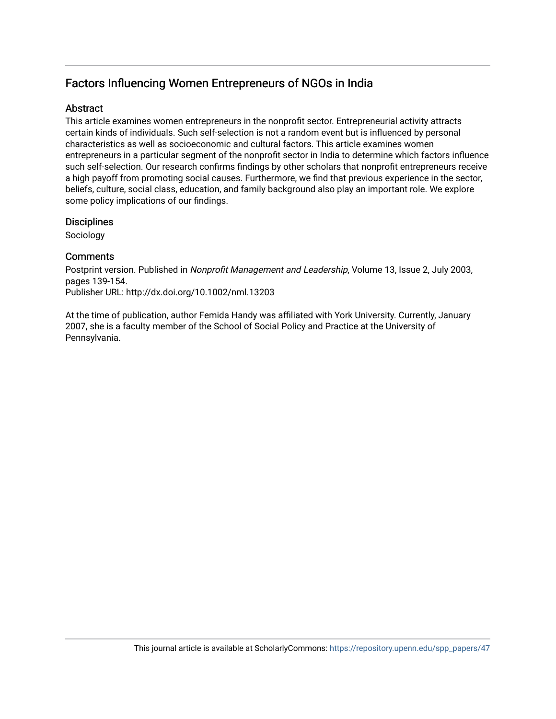# Factors Influencing Women Entrepreneurs of NGOs in India

### **Abstract**

This article examines women entrepreneurs in the nonprofit sector. Entrepreneurial activity attracts certain kinds of individuals. Such self-selection is not a random event but is influenced by personal characteristics as well as socioeconomic and cultural factors. This article examines women entrepreneurs in a particular segment of the nonprofit sector in India to determine which factors influence such self-selection. Our research confirms findings by other scholars that nonprofit entrepreneurs receive a high payoff from promoting social causes. Furthermore, we find that previous experience in the sector, beliefs, culture, social class, education, and family background also play an important role. We explore some policy implications of our findings.

#### **Disciplines**

Sociology

### **Comments**

Postprint version. Published in Nonprofit Management and Leadership, Volume 13, Issue 2, July 2003, pages 139-154. Publisher URL: http://dx.doi.org/10.1002/nml.13203

At the time of publication, author Femida Handy was affiliated with York University. Currently, January 2007, she is a faculty member of the School of Social Policy and Practice at the University of Pennsylvania.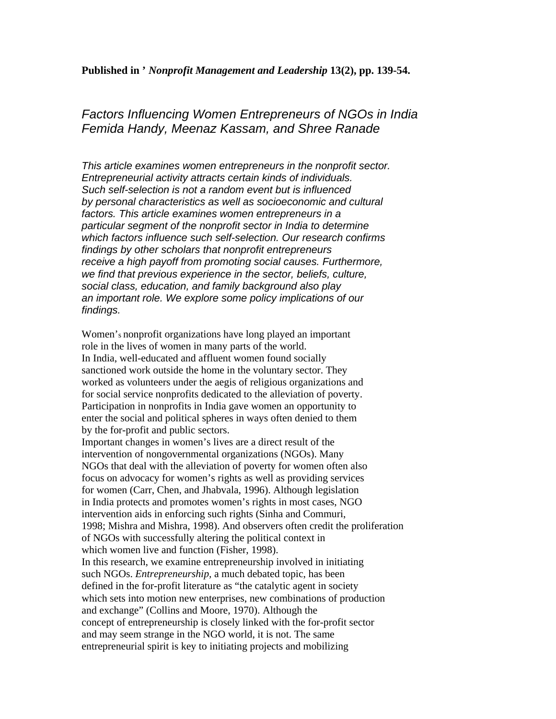### *Factors Influencing Women Entrepreneurs of NGOs in India Femida Handy, Meenaz Kassam, and Shree Ranade*

*This article examines women entrepreneurs in the nonprofit sector. Entrepreneurial activity attracts certain kinds of individuals. Such self-selection is not a random event but is influenced by personal characteristics as well as socioeconomic and cultural factors. This article examines women entrepreneurs in a particular segment of the nonprofit sector in India to determine which factors influence such self-selection. Our research confirms findings by other scholars that nonprofit entrepreneurs receive a high payoff from promoting social causes. Furthermore, we find that previous experience in the sector, beliefs, culture, social class, education, and family background also play an important role. We explore some policy implications of our findings.* 

Women's nonprofit organizations have long played an important role in the lives of women in many parts of the world. In India, well-educated and affluent women found socially sanctioned work outside the home in the voluntary sector. They worked as volunteers under the aegis of religious organizations and for social service nonprofits dedicated to the alleviation of poverty. Participation in nonprofits in India gave women an opportunity to enter the social and political spheres in ways often denied to them by the for-profit and public sectors.

Important changes in women's lives are a direct result of the intervention of nongovernmental organizations (NGOs). Many NGOs that deal with the alleviation of poverty for women often also focus on advocacy for women's rights as well as providing services for women (Carr, Chen, and Jhabvala, 1996). Although legislation in India protects and promotes women's rights in most cases, NGO intervention aids in enforcing such rights (Sinha and Commuri, 1998; Mishra and Mishra, 1998). And observers often credit the proliferation of NGOs with successfully altering the political context in which women live and function (Fisher, 1998). In this research, we examine entrepreneurship involved in initiating such NGOs. *Entrepreneurship,* a much debated topic, has been defined in the for-profit literature as "the catalytic agent in society which sets into motion new enterprises, new combinations of production and exchange" (Collins and Moore, 1970). Although the concept of entrepreneurship is closely linked with the for-profit sector and may seem strange in the NGO world, it is not. The same entrepreneurial spirit is key to initiating projects and mobilizing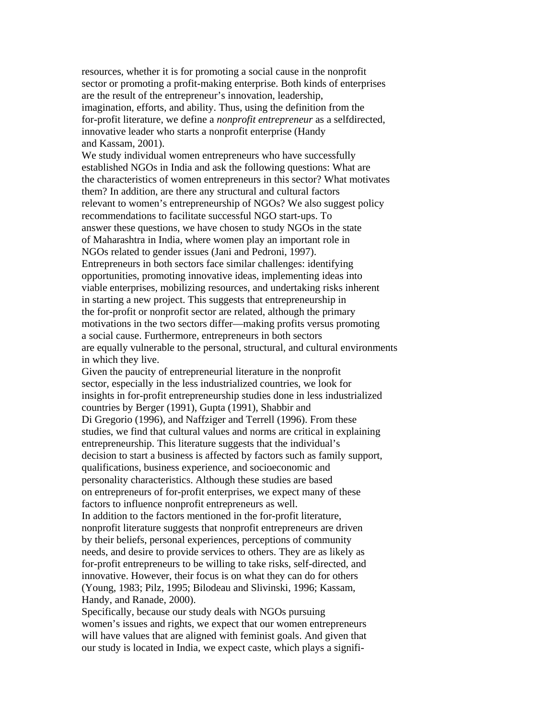resources, whether it is for promoting a social cause in the nonprofit sector or promoting a profit-making enterprise. Both kinds of enterprises are the result of the entrepreneur's innovation, leadership, imagination, efforts, and ability. Thus, using the definition from the for-profit literature, we define a *nonprofit entrepreneur* as a selfdirected, innovative leader who starts a nonprofit enterprise (Handy and Kassam, 2001).

We study individual women entrepreneurs who have successfully established NGOs in India and ask the following questions: What are the characteristics of women entrepreneurs in this sector? What motivates them? In addition, are there any structural and cultural factors relevant to women's entrepreneurship of NGOs? We also suggest policy recommendations to facilitate successful NGO start-ups. To answer these questions, we have chosen to study NGOs in the state of Maharashtra in India, where women play an important role in NGOs related to gender issues (Jani and Pedroni, 1997). Entrepreneurs in both sectors face similar challenges: identifying opportunities, promoting innovative ideas, implementing ideas into viable enterprises, mobilizing resources, and undertaking risks inherent in starting a new project. This suggests that entrepreneurship in the for-profit or nonprofit sector are related, although the primary motivations in the two sectors differ—making profits versus promoting a social cause. Furthermore, entrepreneurs in both sectors are equally vulnerable to the personal, structural, and cultural environments in which they live.

Given the paucity of entrepreneurial literature in the nonprofit sector, especially in the less industrialized countries, we look for insights in for-profit entrepreneurship studies done in less industrialized countries by Berger (1991), Gupta (1991), Shabbir and Di Gregorio (1996), and Naffziger and Terrell (1996). From these studies, we find that cultural values and norms are critical in explaining entrepreneurship. This literature suggests that the individual's decision to start a business is affected by factors such as family support, qualifications, business experience, and socioeconomic and personality characteristics. Although these studies are based on entrepreneurs of for-profit enterprises, we expect many of these factors to influence nonprofit entrepreneurs as well. In addition to the factors mentioned in the for-profit literature, nonprofit literature suggests that nonprofit entrepreneurs are driven by their beliefs, personal experiences, perceptions of community needs, and desire to provide services to others. They are as likely as for-profit entrepreneurs to be willing to take risks, self-directed, and innovative. However, their focus is on what they can do for others (Young, 1983; Pilz, 1995; Bilodeau and Slivinski, 1996; Kassam, Handy, and Ranade, 2000).

Specifically, because our study deals with NGOs pursuing women's issues and rights, we expect that our women entrepreneurs will have values that are aligned with feminist goals. And given that our study is located in India, we expect caste, which plays a signifi-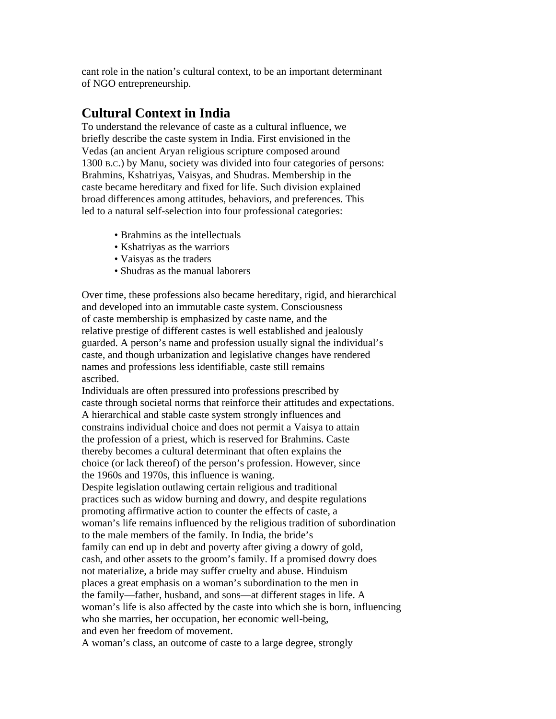cant role in the nation's cultural context, to be an important determinant of NGO entrepreneurship.

# **Cultural Context in India**

To understand the relevance of caste as a cultural influence, we briefly describe the caste system in India. First envisioned in the Vedas (an ancient Aryan religious scripture composed around 1300 B.C.) by Manu, society was divided into four categories of persons: Brahmins, Kshatriyas, Vaisyas, and Shudras. Membership in the caste became hereditary and fixed for life. Such division explained broad differences among attitudes, behaviors, and preferences. This led to a natural self-selection into four professional categories:

- Brahmins as the intellectuals
- Kshatriyas as the warriors
- Vaisyas as the traders
- Shudras as the manual laborers

Over time, these professions also became hereditary, rigid, and hierarchical and developed into an immutable caste system. Consciousness of caste membership is emphasized by caste name, and the relative prestige of different castes is well established and jealously guarded. A person's name and profession usually signal the individual's caste, and though urbanization and legislative changes have rendered names and professions less identifiable, caste still remains ascribed.

Individuals are often pressured into professions prescribed by caste through societal norms that reinforce their attitudes and expectations. A hierarchical and stable caste system strongly influences and constrains individual choice and does not permit a Vaisya to attain the profession of a priest, which is reserved for Brahmins. Caste thereby becomes a cultural determinant that often explains the choice (or lack thereof) of the person's profession. However, since the 1960s and 1970s, this influence is waning. Despite legislation outlawing certain religious and traditional practices such as widow burning and dowry, and despite regulations promoting affirmative action to counter the effects of caste, a woman's life remains influenced by the religious tradition of subordination to the male members of the family. In India, the bride's family can end up in debt and poverty after giving a dowry of gold, cash, and other assets to the groom's family. If a promised dowry does not materialize, a bride may suffer cruelty and abuse. Hinduism places a great emphasis on a woman's subordination to the men in the family—father, husband, and sons—at different stages in life. A woman's life is also affected by the caste into which she is born, influencing who she marries, her occupation, her economic well-being, and even her freedom of movement.

A woman's class, an outcome of caste to a large degree, strongly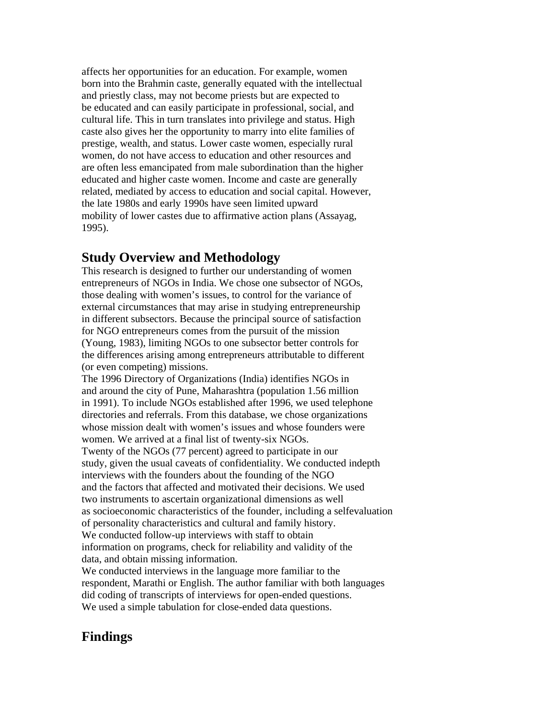affects her opportunities for an education. For example, women born into the Brahmin caste, generally equated with the intellectual and priestly class, may not become priests but are expected to be educated and can easily participate in professional, social, and cultural life. This in turn translates into privilege and status. High caste also gives her the opportunity to marry into elite families of prestige, wealth, and status. Lower caste women, especially rural women, do not have access to education and other resources and are often less emancipated from male subordination than the higher educated and higher caste women. Income and caste are generally related, mediated by access to education and social capital. However, the late 1980s and early 1990s have seen limited upward mobility of lower castes due to affirmative action plans (Assayag, 1995).

## **Study Overview and Methodology**

This research is designed to further our understanding of women entrepreneurs of NGOs in India. We chose one subsector of NGOs, those dealing with women's issues, to control for the variance of external circumstances that may arise in studying entrepreneurship in different subsectors. Because the principal source of satisfaction for NGO entrepreneurs comes from the pursuit of the mission (Young, 1983), limiting NGOs to one subsector better controls for the differences arising among entrepreneurs attributable to different (or even competing) missions.

The 1996 Directory of Organizations (India) identifies NGOs in and around the city of Pune, Maharashtra (population 1.56 million in 1991). To include NGOs established after 1996, we used telephone directories and referrals. From this database, we chose organizations whose mission dealt with women's issues and whose founders were women. We arrived at a final list of twenty-six NGOs. Twenty of the NGOs (77 percent) agreed to participate in our study, given the usual caveats of confidentiality. We conducted indepth interviews with the founders about the founding of the NGO and the factors that affected and motivated their decisions. We used two instruments to ascertain organizational dimensions as well as socioeconomic characteristics of the founder, including a selfevaluation of personality characteristics and cultural and family history. We conducted follow-up interviews with staff to obtain information on programs, check for reliability and validity of the data, and obtain missing information.

We conducted interviews in the language more familiar to the respondent, Marathi or English. The author familiar with both languages did coding of transcripts of interviews for open-ended questions. We used a simple tabulation for close-ended data questions.

## **Findings**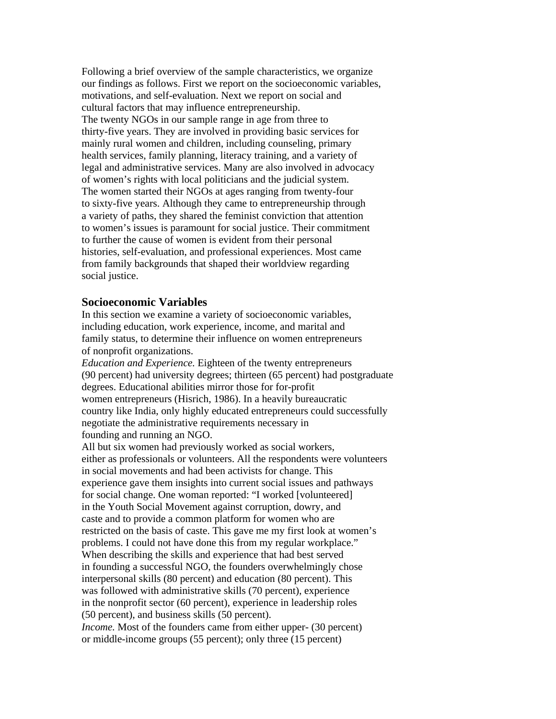Following a brief overview of the sample characteristics, we organize our findings as follows. First we report on the socioeconomic variables, motivations, and self-evaluation. Next we report on social and cultural factors that may influence entrepreneurship. The twenty NGOs in our sample range in age from three to thirty-five years. They are involved in providing basic services for mainly rural women and children, including counseling, primary health services, family planning, literacy training, and a variety of legal and administrative services. Many are also involved in advocacy of women's rights with local politicians and the judicial system. The women started their NGOs at ages ranging from twenty-four to sixty-five years. Although they came to entrepreneurship through a variety of paths, they shared the feminist conviction that attention to women's issues is paramount for social justice. Their commitment to further the cause of women is evident from their personal histories, self-evaluation, and professional experiences. Most came from family backgrounds that shaped their worldview regarding social justice.

#### **Socioeconomic Variables**

In this section we examine a variety of socioeconomic variables, including education, work experience, income, and marital and family status, to determine their influence on women entrepreneurs of nonprofit organizations.

*Education and Experience.* Eighteen of the twenty entrepreneurs (90 percent) had university degrees; thirteen (65 percent) had postgraduate degrees. Educational abilities mirror those for for-profit women entrepreneurs (Hisrich, 1986). In a heavily bureaucratic country like India, only highly educated entrepreneurs could successfully negotiate the administrative requirements necessary in founding and running an NGO.

All but six women had previously worked as social workers, either as professionals or volunteers. All the respondents were volunteers in social movements and had been activists for change. This experience gave them insights into current social issues and pathways for social change. One woman reported: "I worked [volunteered] in the Youth Social Movement against corruption, dowry, and caste and to provide a common platform for women who are restricted on the basis of caste. This gave me my first look at women's problems. I could not have done this from my regular workplace." When describing the skills and experience that had best served in founding a successful NGO, the founders overwhelmingly chose interpersonal skills (80 percent) and education (80 percent). This was followed with administrative skills (70 percent), experience in the nonprofit sector (60 percent), experience in leadership roles (50 percent), and business skills (50 percent). *Income.* Most of the founders came from either upper- (30 percent)

or middle-income groups (55 percent); only three (15 percent)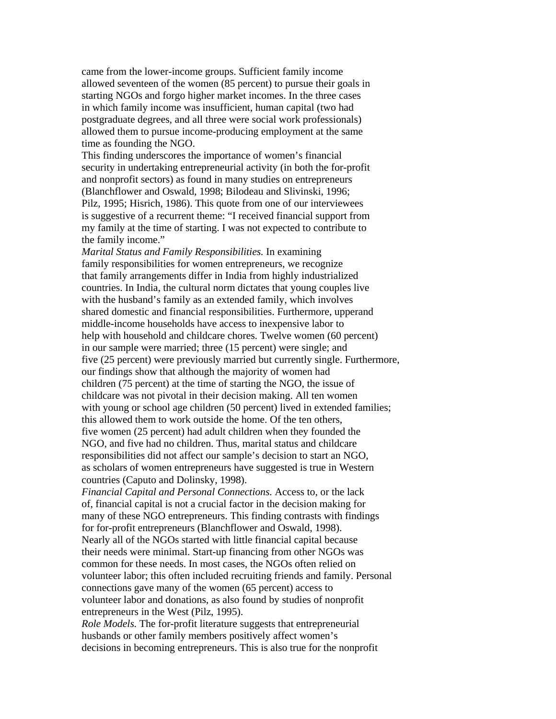came from the lower-income groups. Sufficient family income allowed seventeen of the women (85 percent) to pursue their goals in starting NGOs and forgo higher market incomes. In the three cases in which family income was insufficient, human capital (two had postgraduate degrees, and all three were social work professionals) allowed them to pursue income-producing employment at the same time as founding the NGO.

This finding underscores the importance of women's financial security in undertaking entrepreneurial activity (in both the for-profit and nonprofit sectors) as found in many studies on entrepreneurs (Blanchflower and Oswald, 1998; Bilodeau and Slivinski, 1996; Pilz, 1995; Hisrich, 1986). This quote from one of our interviewees is suggestive of a recurrent theme: "I received financial support from my family at the time of starting. I was not expected to contribute to the family income."

*Marital Status and Family Responsibilities.* In examining family responsibilities for women entrepreneurs, we recognize that family arrangements differ in India from highly industrialized countries. In India, the cultural norm dictates that young couples live with the husband's family as an extended family, which involves shared domestic and financial responsibilities. Furthermore, upperand middle-income households have access to inexpensive labor to help with household and childcare chores. Twelve women (60 percent) in our sample were married; three (15 percent) were single; and five (25 percent) were previously married but currently single. Furthermore, our findings show that although the majority of women had children (75 percent) at the time of starting the NGO, the issue of childcare was not pivotal in their decision making. All ten women with young or school age children (50 percent) lived in extended families; this allowed them to work outside the home. Of the ten others, five women (25 percent) had adult children when they founded the NGO, and five had no children. Thus, marital status and childcare responsibilities did not affect our sample's decision to start an NGO, as scholars of women entrepreneurs have suggested is true in Western countries (Caputo and Dolinsky, 1998).

*Financial Capital and Personal Connections.* Access to, or the lack of, financial capital is not a crucial factor in the decision making for many of these NGO entrepreneurs. This finding contrasts with findings for for-profit entrepreneurs (Blanchflower and Oswald, 1998). Nearly all of the NGOs started with little financial capital because their needs were minimal. Start-up financing from other NGOs was common for these needs. In most cases, the NGOs often relied on volunteer labor; this often included recruiting friends and family. Personal connections gave many of the women (65 percent) access to volunteer labor and donations, as also found by studies of nonprofit entrepreneurs in the West (Pilz, 1995).

*Role Models.* The for-profit literature suggests that entrepreneurial husbands or other family members positively affect women's decisions in becoming entrepreneurs. This is also true for the nonprofit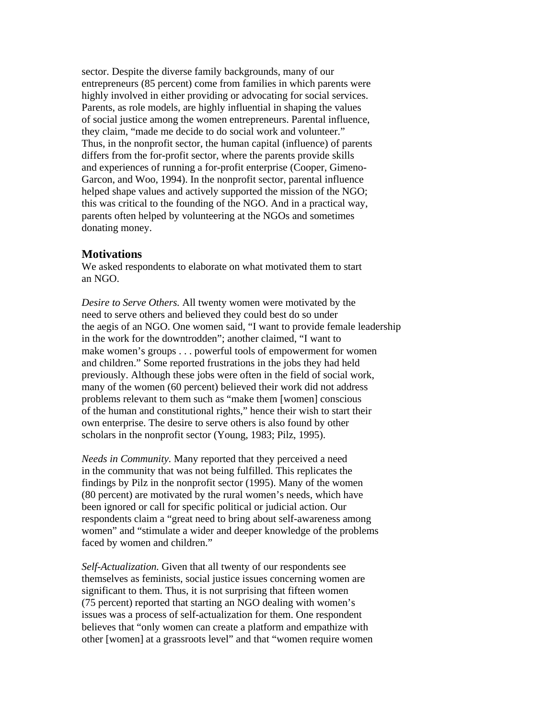sector. Despite the diverse family backgrounds, many of our entrepreneurs (85 percent) come from families in which parents were highly involved in either providing or advocating for social services. Parents, as role models, are highly influential in shaping the values of social justice among the women entrepreneurs. Parental influence, they claim, "made me decide to do social work and volunteer." Thus, in the nonprofit sector, the human capital (influence) of parents differs from the for-profit sector, where the parents provide skills and experiences of running a for-profit enterprise (Cooper, Gimeno-Garcon, and Woo, 1994). In the nonprofit sector, parental influence helped shape values and actively supported the mission of the NGO; this was critical to the founding of the NGO. And in a practical way, parents often helped by volunteering at the NGOs and sometimes donating money.

#### **Motivations**

We asked respondents to elaborate on what motivated them to start an NGO.

*Desire to Serve Others.* All twenty women were motivated by the need to serve others and believed they could best do so under the aegis of an NGO. One women said, "I want to provide female leadership in the work for the downtrodden"; another claimed, "I want to make women's groups . . . powerful tools of empowerment for women and children." Some reported frustrations in the jobs they had held previously. Although these jobs were often in the field of social work, many of the women (60 percent) believed their work did not address problems relevant to them such as "make them [women] conscious of the human and constitutional rights," hence their wish to start their own enterprise. The desire to serve others is also found by other scholars in the nonprofit sector (Young, 1983; Pilz, 1995).

*Needs in Community.* Many reported that they perceived a need in the community that was not being fulfilled. This replicates the findings by Pilz in the nonprofit sector (1995). Many of the women (80 percent) are motivated by the rural women's needs, which have been ignored or call for specific political or judicial action. Our respondents claim a "great need to bring about self-awareness among women" and "stimulate a wider and deeper knowledge of the problems faced by women and children."

*Self-Actualization.* Given that all twenty of our respondents see themselves as feminists, social justice issues concerning women are significant to them. Thus, it is not surprising that fifteen women (75 percent) reported that starting an NGO dealing with women's issues was a process of self-actualization for them. One respondent believes that "only women can create a platform and empathize with other [women] at a grassroots level" and that "women require women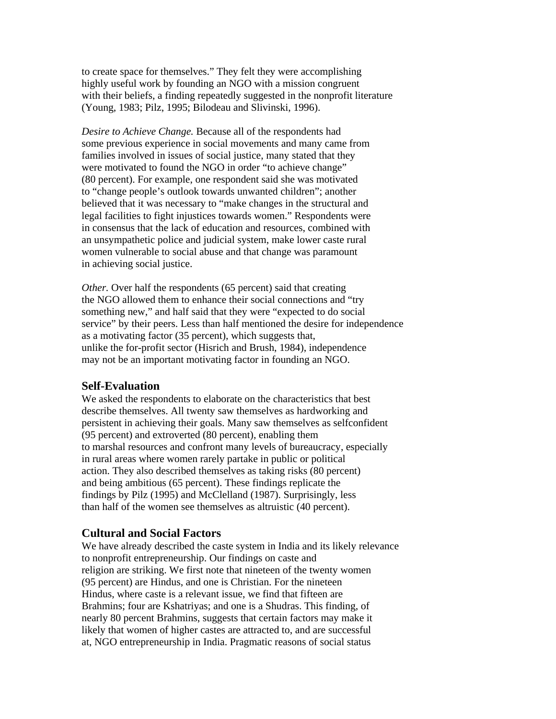to create space for themselves." They felt they were accomplishing highly useful work by founding an NGO with a mission congruent with their beliefs, a finding repeatedly suggested in the nonprofit literature (Young, 1983; Pilz, 1995; Bilodeau and Slivinski, 1996).

*Desire to Achieve Change.* Because all of the respondents had some previous experience in social movements and many came from families involved in issues of social justice, many stated that they were motivated to found the NGO in order "to achieve change" (80 percent). For example, one respondent said she was motivated to "change people's outlook towards unwanted children"; another believed that it was necessary to "make changes in the structural and legal facilities to fight injustices towards women." Respondents were in consensus that the lack of education and resources, combined with an unsympathetic police and judicial system, make lower caste rural women vulnerable to social abuse and that change was paramount in achieving social justice.

*Other.* Over half the respondents (65 percent) said that creating the NGO allowed them to enhance their social connections and "try something new," and half said that they were "expected to do social service" by their peers. Less than half mentioned the desire for independence as a motivating factor (35 percent), which suggests that, unlike the for-profit sector (Hisrich and Brush, 1984), independence may not be an important motivating factor in founding an NGO.

### **Self-Evaluation**

We asked the respondents to elaborate on the characteristics that best describe themselves. All twenty saw themselves as hardworking and persistent in achieving their goals. Many saw themselves as selfconfident (95 percent) and extroverted (80 percent), enabling them to marshal resources and confront many levels of bureaucracy, especially in rural areas where women rarely partake in public or political action. They also described themselves as taking risks (80 percent) and being ambitious (65 percent). These findings replicate the findings by Pilz (1995) and McClelland (1987). Surprisingly, less than half of the women see themselves as altruistic (40 percent).

### **Cultural and Social Factors**

We have already described the caste system in India and its likely relevance to nonprofit entrepreneurship. Our findings on caste and religion are striking. We first note that nineteen of the twenty women (95 percent) are Hindus, and one is Christian. For the nineteen Hindus, where caste is a relevant issue, we find that fifteen are Brahmins; four are Kshatriyas; and one is a Shudras. This finding, of nearly 80 percent Brahmins, suggests that certain factors may make it likely that women of higher castes are attracted to, and are successful at, NGO entrepreneurship in India. Pragmatic reasons of social status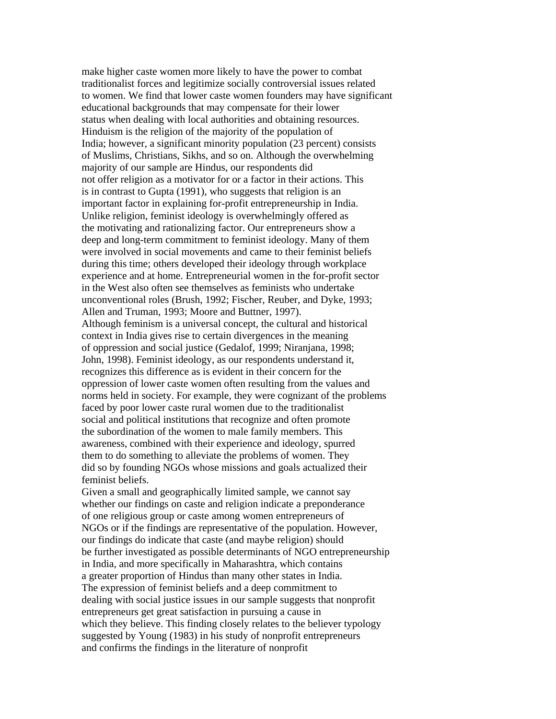make higher caste women more likely to have the power to combat traditionalist forces and legitimize socially controversial issues related to women. We find that lower caste women founders may have significant educational backgrounds that may compensate for their lower status when dealing with local authorities and obtaining resources. Hinduism is the religion of the majority of the population of India; however, a significant minority population (23 percent) consists of Muslims, Christians, Sikhs, and so on. Although the overwhelming majority of our sample are Hindus, our respondents did not offer religion as a motivator for or a factor in their actions. This is in contrast to Gupta (1991), who suggests that religion is an important factor in explaining for-profit entrepreneurship in India. Unlike religion, feminist ideology is overwhelmingly offered as the motivating and rationalizing factor. Our entrepreneurs show a deep and long-term commitment to feminist ideology. Many of them were involved in social movements and came to their feminist beliefs during this time; others developed their ideology through workplace experience and at home. Entrepreneurial women in the for-profit sector in the West also often see themselves as feminists who undertake unconventional roles (Brush, 1992; Fischer, Reuber, and Dyke, 1993; Allen and Truman, 1993; Moore and Buttner, 1997). Although feminism is a universal concept, the cultural and historical context in India gives rise to certain divergences in the meaning of oppression and social justice (Gedalof, 1999; Niranjana, 1998; John, 1998). Feminist ideology, as our respondents understand it, recognizes this difference as is evident in their concern for the oppression of lower caste women often resulting from the values and norms held in society. For example, they were cognizant of the problems faced by poor lower caste rural women due to the traditionalist social and political institutions that recognize and often promote the subordination of the women to male family members. This awareness, combined with their experience and ideology, spurred them to do something to alleviate the problems of women. They did so by founding NGOs whose missions and goals actualized their feminist beliefs.

Given a small and geographically limited sample, we cannot say whether our findings on caste and religion indicate a preponderance of one religious group or caste among women entrepreneurs of NGOs or if the findings are representative of the population. However, our findings do indicate that caste (and maybe religion) should be further investigated as possible determinants of NGO entrepreneurship in India, and more specifically in Maharashtra, which contains a greater proportion of Hindus than many other states in India. The expression of feminist beliefs and a deep commitment to dealing with social justice issues in our sample suggests that nonprofit entrepreneurs get great satisfaction in pursuing a cause in which they believe. This finding closely relates to the believer typology suggested by Young (1983) in his study of nonprofit entrepreneurs and confirms the findings in the literature of nonprofit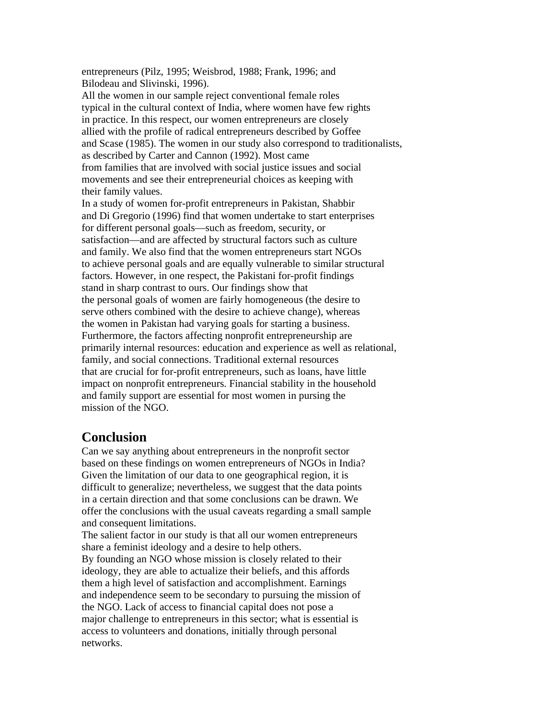entrepreneurs (Pilz, 1995; Weisbrod, 1988; Frank, 1996; and Bilodeau and Slivinski, 1996).

All the women in our sample reject conventional female roles typical in the cultural context of India, where women have few rights in practice. In this respect, our women entrepreneurs are closely allied with the profile of radical entrepreneurs described by Goffee and Scase (1985). The women in our study also correspond to traditionalists, as described by Carter and Cannon (1992). Most came from families that are involved with social justice issues and social movements and see their entrepreneurial choices as keeping with their family values.

In a study of women for-profit entrepreneurs in Pakistan, Shabbir and Di Gregorio (1996) find that women undertake to start enterprises for different personal goals—such as freedom, security, or satisfaction—and are affected by structural factors such as culture and family. We also find that the women entrepreneurs start NGOs to achieve personal goals and are equally vulnerable to similar structural factors. However, in one respect, the Pakistani for-profit findings stand in sharp contrast to ours. Our findings show that the personal goals of women are fairly homogeneous (the desire to serve others combined with the desire to achieve change), whereas the women in Pakistan had varying goals for starting a business. Furthermore, the factors affecting nonprofit entrepreneurship are primarily internal resources: education and experience as well as relational, family, and social connections. Traditional external resources that are crucial for for-profit entrepreneurs, such as loans, have little impact on nonprofit entrepreneurs. Financial stability in the household and family support are essential for most women in pursing the mission of the NGO.

### **Conclusion**

Can we say anything about entrepreneurs in the nonprofit sector based on these findings on women entrepreneurs of NGOs in India? Given the limitation of our data to one geographical region, it is difficult to generalize; nevertheless, we suggest that the data points in a certain direction and that some conclusions can be drawn. We offer the conclusions with the usual caveats regarding a small sample and consequent limitations.

The salient factor in our study is that all our women entrepreneurs share a feminist ideology and a desire to help others. By founding an NGO whose mission is closely related to their ideology, they are able to actualize their beliefs, and this affords them a high level of satisfaction and accomplishment. Earnings and independence seem to be secondary to pursuing the mission of the NGO. Lack of access to financial capital does not pose a major challenge to entrepreneurs in this sector; what is essential is access to volunteers and donations, initially through personal networks.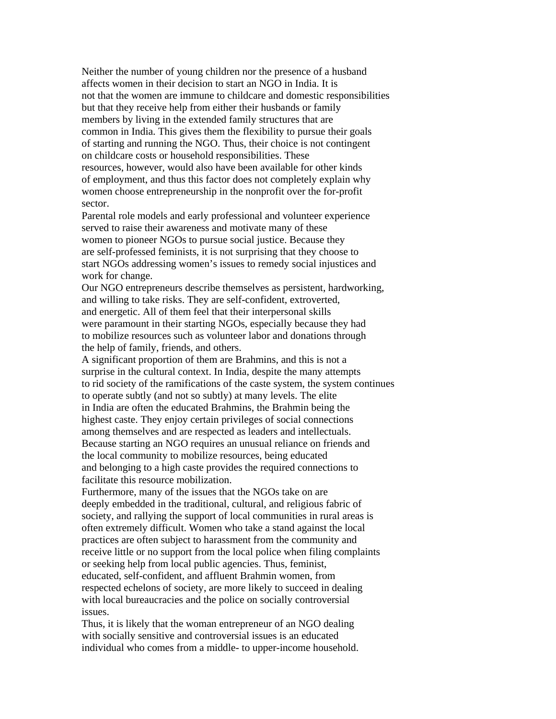Neither the number of young children nor the presence of a husband affects women in their decision to start an NGO in India. It is not that the women are immune to childcare and domestic responsibilities but that they receive help from either their husbands or family members by living in the extended family structures that are common in India. This gives them the flexibility to pursue their goals of starting and running the NGO. Thus, their choice is not contingent on childcare costs or household responsibilities. These resources, however, would also have been available for other kinds of employment, and thus this factor does not completely explain why women choose entrepreneurship in the nonprofit over the for-profit sector.

Parental role models and early professional and volunteer experience served to raise their awareness and motivate many of these women to pioneer NGOs to pursue social justice. Because they are self-professed feminists, it is not surprising that they choose to start NGOs addressing women's issues to remedy social injustices and work for change.

Our NGO entrepreneurs describe themselves as persistent, hardworking, and willing to take risks. They are self-confident, extroverted, and energetic. All of them feel that their interpersonal skills were paramount in their starting NGOs, especially because they had to mobilize resources such as volunteer labor and donations through the help of family, friends, and others.

A significant proportion of them are Brahmins, and this is not a surprise in the cultural context. In India, despite the many attempts to rid society of the ramifications of the caste system, the system continues to operate subtly (and not so subtly) at many levels. The elite in India are often the educated Brahmins, the Brahmin being the highest caste. They enjoy certain privileges of social connections among themselves and are respected as leaders and intellectuals. Because starting an NGO requires an unusual reliance on friends and the local community to mobilize resources, being educated and belonging to a high caste provides the required connections to facilitate this resource mobilization.

Furthermore, many of the issues that the NGOs take on are deeply embedded in the traditional, cultural, and religious fabric of society, and rallying the support of local communities in rural areas is often extremely difficult. Women who take a stand against the local practices are often subject to harassment from the community and receive little or no support from the local police when filing complaints or seeking help from local public agencies. Thus, feminist, educated, self-confident, and affluent Brahmin women, from respected echelons of society, are more likely to succeed in dealing with local bureaucracies and the police on socially controversial issues.

Thus, it is likely that the woman entrepreneur of an NGO dealing with socially sensitive and controversial issues is an educated individual who comes from a middle- to upper-income household.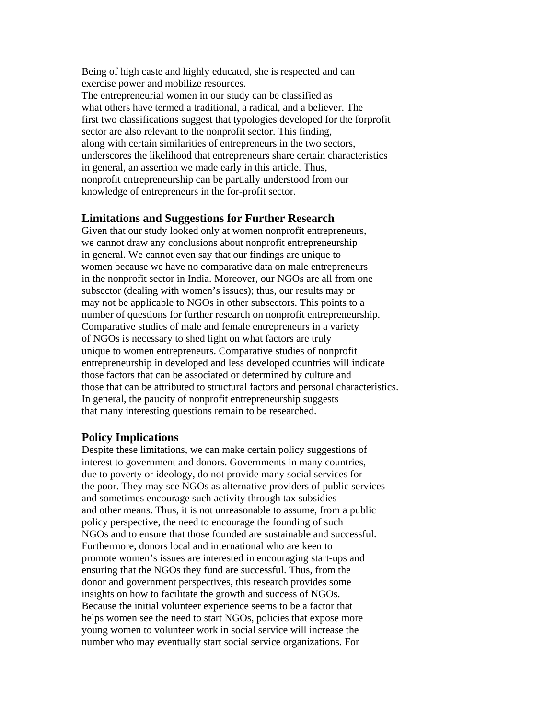Being of high caste and highly educated, she is respected and can exercise power and mobilize resources. The entrepreneurial women in our study can be classified as what others have termed a traditional, a radical, and a believer. The first two classifications suggest that typologies developed for the forprofit sector are also relevant to the nonprofit sector. This finding, along with certain similarities of entrepreneurs in the two sectors, underscores the likelihood that entrepreneurs share certain characteristics in general, an assertion we made early in this article. Thus, nonprofit entrepreneurship can be partially understood from our knowledge of entrepreneurs in the for-profit sector.

### **Limitations and Suggestions for Further Research**

Given that our study looked only at women nonprofit entrepreneurs, we cannot draw any conclusions about nonprofit entrepreneurship in general. We cannot even say that our findings are unique to women because we have no comparative data on male entrepreneurs in the nonprofit sector in India. Moreover, our NGOs are all from one subsector (dealing with women's issues); thus, our results may or may not be applicable to NGOs in other subsectors. This points to a number of questions for further research on nonprofit entrepreneurship. Comparative studies of male and female entrepreneurs in a variety of NGOs is necessary to shed light on what factors are truly unique to women entrepreneurs. Comparative studies of nonprofit entrepreneurship in developed and less developed countries will indicate those factors that can be associated or determined by culture and those that can be attributed to structural factors and personal characteristics. In general, the paucity of nonprofit entrepreneurship suggests that many interesting questions remain to be researched.

### **Policy Implications**

Despite these limitations, we can make certain policy suggestions of interest to government and donors. Governments in many countries, due to poverty or ideology, do not provide many social services for the poor. They may see NGOs as alternative providers of public services and sometimes encourage such activity through tax subsidies and other means. Thus, it is not unreasonable to assume, from a public policy perspective, the need to encourage the founding of such NGOs and to ensure that those founded are sustainable and successful. Furthermore, donors local and international who are keen to promote women's issues are interested in encouraging start-ups and ensuring that the NGOs they fund are successful. Thus, from the donor and government perspectives, this research provides some insights on how to facilitate the growth and success of NGOs. Because the initial volunteer experience seems to be a factor that helps women see the need to start NGOs, policies that expose more young women to volunteer work in social service will increase the number who may eventually start social service organizations. For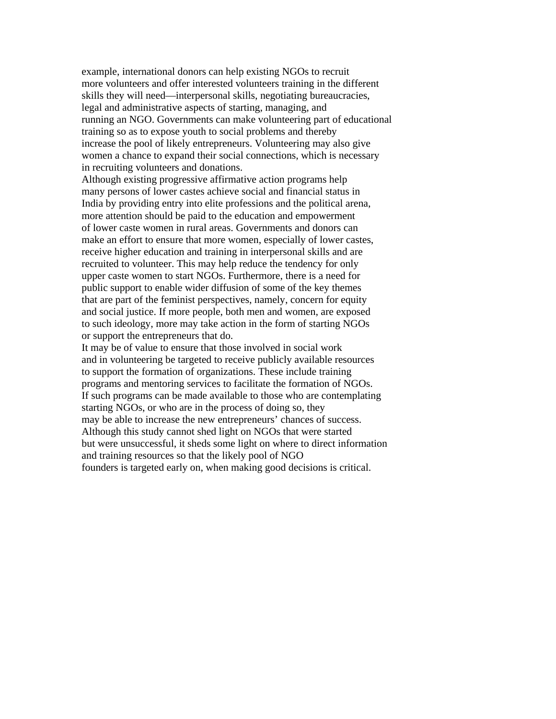example, international donors can help existing NGOs to recruit more volunteers and offer interested volunteers training in the different skills they will need—interpersonal skills, negotiating bureaucracies, legal and administrative aspects of starting, managing, and running an NGO. Governments can make volunteering part of educational training so as to expose youth to social problems and thereby increase the pool of likely entrepreneurs. Volunteering may also give women a chance to expand their social connections, which is necessary in recruiting volunteers and donations.

Although existing progressive affirmative action programs help many persons of lower castes achieve social and financial status in India by providing entry into elite professions and the political arena, more attention should be paid to the education and empowerment of lower caste women in rural areas. Governments and donors can make an effort to ensure that more women, especially of lower castes, receive higher education and training in interpersonal skills and are recruited to volunteer. This may help reduce the tendency for only upper caste women to start NGOs. Furthermore, there is a need for public support to enable wider diffusion of some of the key themes that are part of the feminist perspectives, namely, concern for equity and social justice. If more people, both men and women, are exposed to such ideology, more may take action in the form of starting NGOs or support the entrepreneurs that do.

It may be of value to ensure that those involved in social work and in volunteering be targeted to receive publicly available resources to support the formation of organizations. These include training programs and mentoring services to facilitate the formation of NGOs. If such programs can be made available to those who are contemplating starting NGOs, or who are in the process of doing so, they may be able to increase the new entrepreneurs' chances of success. Although this study cannot shed light on NGOs that were started but were unsuccessful, it sheds some light on where to direct information and training resources so that the likely pool of NGO founders is targeted early on, when making good decisions is critical.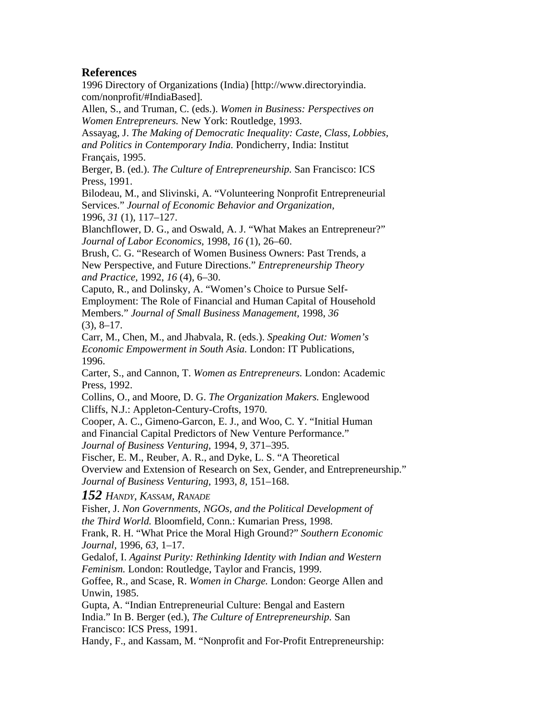### **References**

1996 Directory of Organizations (India) [http://www.directoryindia. com/nonprofit/#IndiaBased].

Allen, S., and Truman, C. (eds.). *Women in Business: Perspectives on Women Entrepreneurs.* New York: Routledge, 1993.

Assayag, J. *The Making of Democratic Inequality: Caste, Class, Lobbies, and Politics in Contemporary India.* Pondicherry, India: Institut Français, 1995.

Berger, B. (ed.). *The Culture of Entrepreneurship.* San Francisco: ICS Press, 1991.

Bilodeau, M., and Slivinski, A. "Volunteering Nonprofit Entrepreneurial Services." *Journal of Economic Behavior and Organization,*  1996, *31* (1), 117–127.

Blanchflower, D. G., and Oswald, A. J. "What Makes an Entrepreneur?" *Journal of Labor Economics,* 1998, *16* (1), 26–60.

Brush, C. G. "Research of Women Business Owners: Past Trends, a New Perspective, and Future Directions." *Entrepreneurship Theory and Practice,* 1992, *16* (4), 6–30.

Caputo, R., and Dolinsky, A. "Women's Choice to Pursue Self-Employment: The Role of Financial and Human Capital of Household Members." *Journal of Small Business Management,* 1998, *36*   $(3), 8-17.$ 

Carr, M., Chen, M., and Jhabvala, R. (eds.). *Speaking Out: Women's Economic Empowerment in South Asia.* London: IT Publications, 1996.

Carter, S., and Cannon, T. *Women as Entrepreneurs.* London: Academic Press, 1992.

Collins, O., and Moore, D. G. *The Organization Makers.* Englewood Cliffs, N.J.: Appleton-Century-Crofts, 1970.

Cooper, A. C., Gimeno-Garcon, E. J., and Woo, C. Y. "Initial Human and Financial Capital Predictors of New Venture Performance." *Journal of Business Venturing,* 1994, *9,* 371–395.

Fischer, E. M., Reuber, A. R., and Dyke, L. S. "A Theoretical Overview and Extension of Research on Sex, Gender, and Entrepreneurship." *Journal of Business Venturing,* 1993, *8,* 151–168.

*152 HANDY, KASSAM, RANADE* 

Fisher, J. *Non Governments, NGOs, and the Political Development of the Third World.* Bloomfield, Conn.: Kumarian Press, 1998. Frank, R. H. "What Price the Moral High Ground?" *Southern Economic* 

*Journal,* 1996, *63,* 1–17.

Gedalof, I. *Against Purity: Rethinking Identity with Indian and Western Feminism.* London: Routledge, Taylor and Francis, 1999.

Goffee, R., and Scase, R. *Women in Charge.* London: George Allen and Unwin, 1985.

Gupta, A. "Indian Entrepreneurial Culture: Bengal and Eastern India." In B. Berger (ed.), *The Culture of Entrepreneurship.* San Francisco: ICS Press, 1991.

Handy, F., and Kassam, M. "Nonprofit and For-Profit Entrepreneurship: